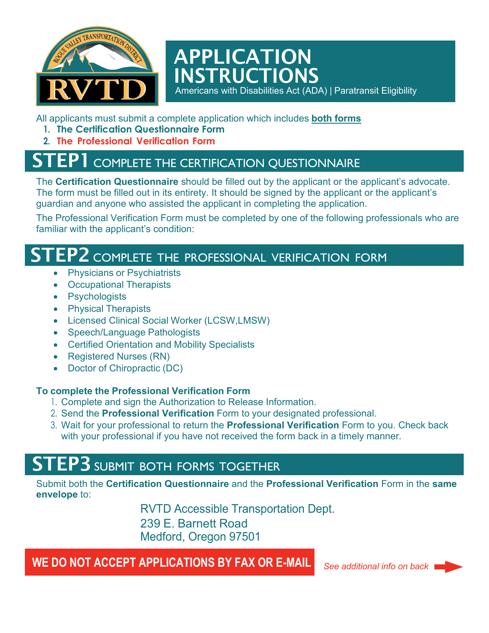

# APPLICATION **INSTRUCTIONS**

Americans with Disabilities Act (ADA) | Paratransit Eligibility

#### All applicants must submit a complete application which includes **both forms**

- **1. The Certification Questionnaire Form**
- **2. The Professional Verification Form**

### COMPLETE THE CERTIFICATION QUESTIONNAIRE

The **Certification Questionnaire** should be filled out by the applicant or the applicant's advocate. The form must be filled out in its entirety. It should be signed by the applicant or the applicant's guardian and anyone who assisted the applicant in completing the application.

The Professional Verification Form must be completed by one of the following professionals who are familiar with the applicant's condition:

### **EP2** COMPLETE THE PROFESSIONAL VERIFICATION FORM

- Physicians or Psychiatrists
- **Occupational Therapists**
- Psychologists
- Physical Therapists
- Licensed Clinical Social Worker (LCSW,LMSW)
- Speech/Language Pathologists
- Certified Orientation and Mobility Specialists
- Registered Nurses (RN)
- Doctor of Chiropractic (DC)

#### **To complete the Professional Verification Form**

- 1. Complete and sign the Authorization to Release Information.
- 2. Send the **Professional Verification** Form to your designated professional.
- 3. Wait for your professional to return the **Professional Verification** Form to you. Check back with your professional if you have not received the form back in a timely manner.

### $PS$  submit both forms together

Submit both the **Certification Questionnaire** and the **Professional Verification** Form in the **same envelope** to:

> RVTD Accessible Transportation Dept. 239 E. Barnett Road Medford, Oregon 97501

### **WE DO NOT ACCEPT APPLICATIONS BY FAX OR E-MAIL** See additional info on back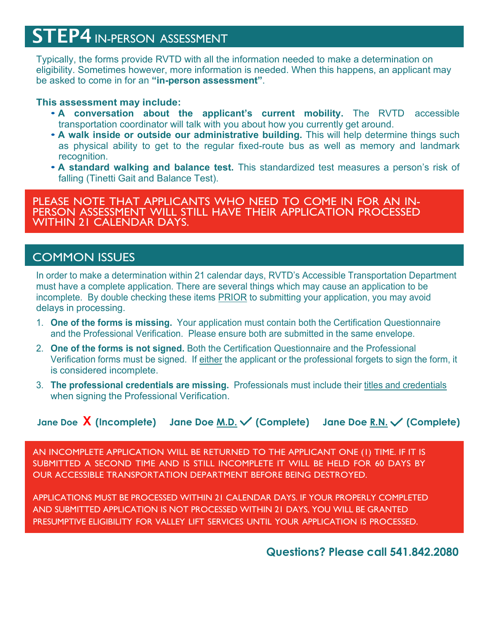## **STEP4** IN-PERSON ASSESSMENT

Typically, the forms provide RVTD with all the information needed to make a determination on eligibility. Sometimes however, more information is needed. When this happens, an applicant may be asked to come in for an **"in-person assessment"**.

#### **This assessment may include:**

- **A conversation about the applicant's current mobility.** The RVTD accessible transportation coordinator will talk with you about how you currently get around.
- **A walk inside or outside our administrative building.** This will help determine things such as physical ability to get to the regular fixed-route bus as well as memory and landmark recognition.
- **A standard walking and balance test.** This standardized test measures a person's risk of falling (Tinetti Gait and Balance Test).

PLEASE NOTE THAT APPLICANTS WHO NEED TO COME IN FOR AN IN- PERSON ASSESSMENT WILL STILL HAVE THEIR APPLICATION PROCESSED WITHIN 21 CALENDAR DAYS.

### COMMON ISSUES

In order to make a determination within 21 calendar days, RVTD's Accessible Transportation Department must have a complete application. There are several things which may cause an application to be incomplete. By double checking these items PRIOR to submitting your application, you may avoid delays in processing.

- 1. **One of the forms is missing.** Your application must contain both the Certification Questionnaire and the Professional Verification. Please ensure both are submitted in the same envelope.
- 2. **One of the forms is not signed.** Both the Certification Questionnaire and the Professional Verification forms must be signed. If either the applicant or the professional forgets to sign the form, it is considered incomplete.
- 3. **The professional credentials are missing.** Professionals must include their titles and credentials when signing the Professional Verification.

Jane Doe **X** (Incomplete) Jane Doe M.D. ✓ (Complete) Jane Doe R.N. ✓ (Complete)

AN INCOMPLETE APPLICATION WILL BE RETURNED TO THE APPLICANT ONE (1) TIME. IF IT IS SUBMITTED A SECOND TIME AND IS STILL INCOMPLETE IT WILL BE HELD FOR 60 DAYS BY OUR ACCESSIBLE TRANSPORTATION DEPARTMENT BEFORE BEING DESTROYED.

APPLICATIONS MUST BE PROCESSED WITHIN 21 CALENDAR DAYS. IF YOUR PROPERLY COMPLETED AND SUBMITTED APPLICATION IS NOT PROCESSED WITHIN 21 DAYS, YOU WILL BE GRANTED PRESUMPTIVE ELIGIBILITY FOR VALLEY LIFT SERVICES UNTIL YOUR APPLICATION IS PROCESSED.

**Questions? Please call 541.842.2080**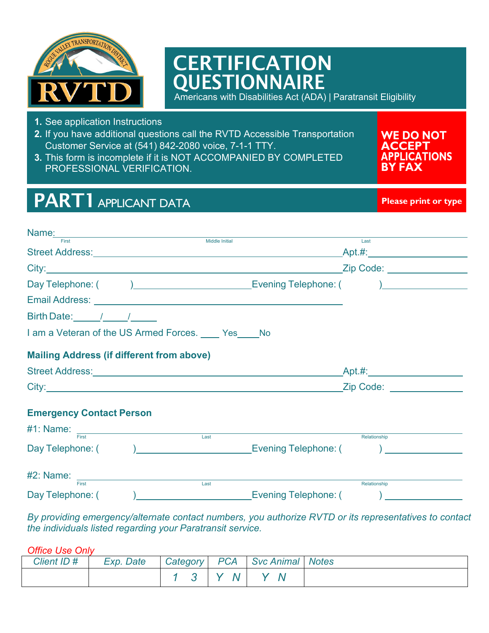

# **CERTIFICATION QUESTIONNAIRE**

Americans with Disabilities Act (ADA) | Paratransit Eligibility

**1.** See application Instructions

| 2. If you have additional questions call the RVTD Accessible Transportation |  |  |
|-----------------------------------------------------------------------------|--|--|
| Customer Service at (541) 842-2080 voice, 7-1-1 TTY.                        |  |  |

**3.** This form is incomplete if it is NOT ACCOMPANIED BY COMPLETED PROFESSIONAL VERIFICATION.

**WE DO NOT ACCEPT APPLICATIONS BY FAX**

# PART1APPLICANT DATA **Please print or type**

| Name <u>: _____________________________</u>      |                                                                                                                                                                                                                                |                      |                                   |
|--------------------------------------------------|--------------------------------------------------------------------------------------------------------------------------------------------------------------------------------------------------------------------------------|----------------------|-----------------------------------|
|                                                  | Middle Initial                                                                                                                                                                                                                 |                      | Last                              |
|                                                  |                                                                                                                                                                                                                                |                      |                                   |
|                                                  |                                                                                                                                                                                                                                |                      | <u>Zip Code: _______________</u>  |
|                                                  | Day Telephone: ( a manufacturer contract to the Evening Telephone: ( a manufacturer contract of the Day Telephone: ( a manufacturer contract of the Day Telephone: ( a manufacturer contract of the Day Telephone: ( a manufac |                      |                                   |
|                                                  |                                                                                                                                                                                                                                |                      |                                   |
| Birth Date: $\frac{1}{\sqrt{1-\frac{1}{2}}}$     |                                                                                                                                                                                                                                |                      |                                   |
|                                                  | I am a Veteran of the US Armed Forces. Pres                                                                                                                                                                                    |                      |                                   |
| <b>Mailing Address (if different from above)</b> |                                                                                                                                                                                                                                |                      |                                   |
|                                                  |                                                                                                                                                                                                                                |                      | _Apt.#:__________________________ |
|                                                  |                                                                                                                                                                                                                                |                      | <b>Zip Code: Communication</b>    |
| <b>Emergency Contact Person</b>                  |                                                                                                                                                                                                                                |                      |                                   |
|                                                  |                                                                                                                                                                                                                                |                      |                                   |
| Day Telephone: (                                 | Last<br><b>Evening Telephone: (Exercise</b>                                                                                                                                                                                    |                      | Relationship                      |
| #2: Name: $\frac{1}{2}$<br>First                 | Last                                                                                                                                                                                                                           |                      | Relationship                      |
| Day Telephone: (                                 |                                                                                                                                                                                                                                | Evening Telephone: ( |                                   |

*By providing emergency/alternate contact numbers, you authorize RVTD or its representatives to contact the individuals listed regarding your Paratransit service.*

*Office Use Only*

| Client ID # | Exp. Date   Category   PCA   Svc Animal   Notes |           |  |
|-------------|-------------------------------------------------|-----------|--|
|             |                                                 | 1 3   Y N |  |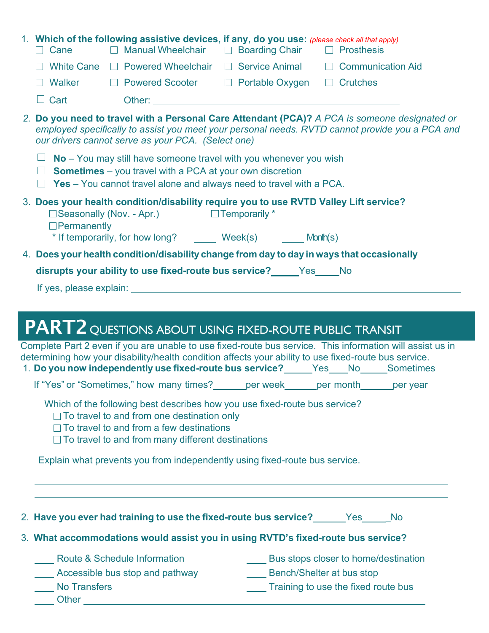| 1. Which of the following assistive devices, if any, do you use: (please check all that apply)<br>$\Box$ Manual Wheelchair $\Box$ Boarding Chair $\Box$ Prosthesis<br>Cane<br>$\Box$                                                                                                                     |  |
|----------------------------------------------------------------------------------------------------------------------------------------------------------------------------------------------------------------------------------------------------------------------------------------------------------|--|
| White Cane □ Powered Wheelchair<br>$\Box$ Service Animal $\Box$ Communication Aid                                                                                                                                                                                                                        |  |
| Walker □ Powered Scooter<br>$\Box$ Portable Oxygen $\Box$ Crutches                                                                                                                                                                                                                                       |  |
| $\Box$ Cart<br>Other: <u>with the contract of the contract of the contract of the contract of the contract of the contract of the contract of the contract of the contract of the contract of the contract of the contract of the contract of t</u>                                                      |  |
| 2. Do you need to travel with a Personal Care Attendant (PCA)? A PCA is someone designated or<br>employed specifically to assist you meet your personal needs. RVTD cannot provide you a PCA and<br>our drivers cannot serve as your PCA. (Select one)                                                   |  |
| $\Box$<br>$No - You$ may still have someone travel with you whenever you wish<br><b>Sometimes</b> – you travel with a PCA at your own discretion<br>$\Box$<br>$\Box$ Yes – You cannot travel alone and always need to travel with a PCA.                                                                 |  |
| 3. Does your health condition/disability require you to use RVTD Valley Lift service?<br>□Seasonally (Nov. - Apr.) □ Temporarily *<br>$\Box$ Permanently<br>* If temporarily, for how long? _______ Week(s) ______ Month(s)                                                                              |  |
| 4. Does your health condition/disability change from day to day in ways that occasionally                                                                                                                                                                                                                |  |
| disrupts your ability to use fixed-route bus service? ______Yes_____No                                                                                                                                                                                                                                   |  |
|                                                                                                                                                                                                                                                                                                          |  |
|                                                                                                                                                                                                                                                                                                          |  |
|                                                                                                                                                                                                                                                                                                          |  |
| <b>PART2</b> QUESTIONS ABOUT USING FIXED-ROUTE PUBLIC TRANSIT                                                                                                                                                                                                                                            |  |
| Complete Part 2 even if you are unable to use fixed-route bus service. This information will assist us in<br>determining how your disability/health condition affects your ability to use fixed-route bus service.<br>1. Do you now independently use fixed-route bus service?_____Yes___No____Sometimes |  |
| If "Yes" or "Sometimes," how many times?______per week_____per month_____per year                                                                                                                                                                                                                        |  |
| Which of the following best describes how you use fixed-route bus service?<br>$\Box$ To travel to and from one destination only<br>$\Box$ To travel to and from a few destinations<br>$\Box$ To travel to and from many different destinations                                                           |  |
| Explain what prevents you from independently using fixed-route bus service.                                                                                                                                                                                                                              |  |
| 2. Have you ever had training to use the fixed-route bus service? Ves Mo                                                                                                                                                                                                                                 |  |
| 3. What accommodations would assist you in using RVTD's fixed-route bus service?                                                                                                                                                                                                                         |  |
| <b>Route &amp; Schedule Information</b><br>Bus stops closer to home/destination                                                                                                                                                                                                                          |  |
| Bench/Shelter at bus stop<br>Accessible bus stop and pathway<br>Training to use the fixed route bus<br><b>No Transfers</b>                                                                                                                                                                               |  |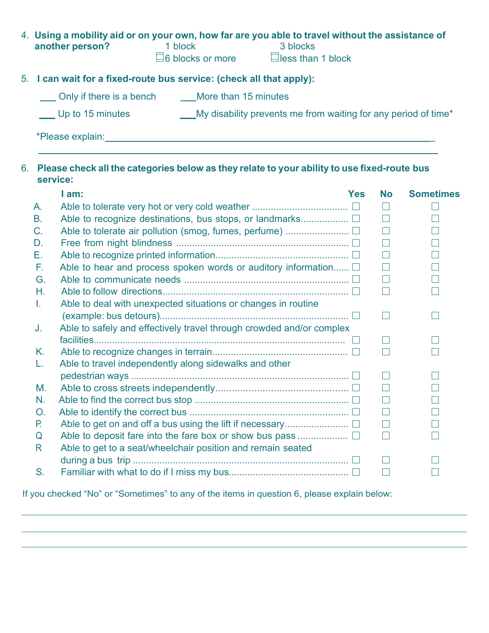| another person?                                                      | 1 block<br>$\Box$ 6 blocks or more | 4. Using a mobility aid or on your own, how far are you able to travel without the assistance of<br>3 blocks<br>$\Box$ less than 1 block |  |
|----------------------------------------------------------------------|------------------------------------|------------------------------------------------------------------------------------------------------------------------------------------|--|
| 5. I can wait for a fixed-route bus service: (check all that apply): |                                    |                                                                                                                                          |  |
| Only if there is a bench                                             | More than 15 minutes               |                                                                                                                                          |  |
| $\Box$ Up to 15 minutes                                              |                                    | $My$ disability prevents me from waiting for any period of time*                                                                         |  |
| *Please explain:                                                     |                                    |                                                                                                                                          |  |

#### 6. **Please check all the categories below as they relate to your ability to use fixed-route bus service:**

|               | I am:                                                                | <b>Yes</b> | <b>No</b> | <b>Sometimes</b> |
|---------------|----------------------------------------------------------------------|------------|-----------|------------------|
| A.            |                                                                      |            |           |                  |
| B.            |                                                                      |            |           |                  |
| C.            |                                                                      |            |           |                  |
| D.            |                                                                      |            |           |                  |
| Е.            |                                                                      |            |           |                  |
| Е.            | Able to hear and process spoken words or auditory information        |            |           |                  |
| G.            |                                                                      |            |           |                  |
| Η.            |                                                                      |            |           |                  |
| L.            | Able to deal with unexpected situations or changes in routine        |            |           |                  |
|               |                                                                      |            |           |                  |
| J.            | Able to safely and effectively travel through crowded and/or complex |            |           |                  |
|               |                                                                      |            |           |                  |
| Κ.            |                                                                      |            |           |                  |
| L.            | Able to travel independently along sidewalks and other               |            |           |                  |
|               |                                                                      |            |           |                  |
| М.            |                                                                      |            |           |                  |
| N.            |                                                                      |            |           |                  |
| $\mathsf{O}.$ |                                                                      |            |           |                  |
| P.            |                                                                      |            |           |                  |
| Q             |                                                                      |            |           |                  |
| R             | Able to get to a seat/wheelchair position and remain seated          |            |           |                  |
|               |                                                                      |            |           |                  |
| S.            |                                                                      |            |           |                  |

If you checked "No" or "Sometimes" to any of the items in question 6, please explain below: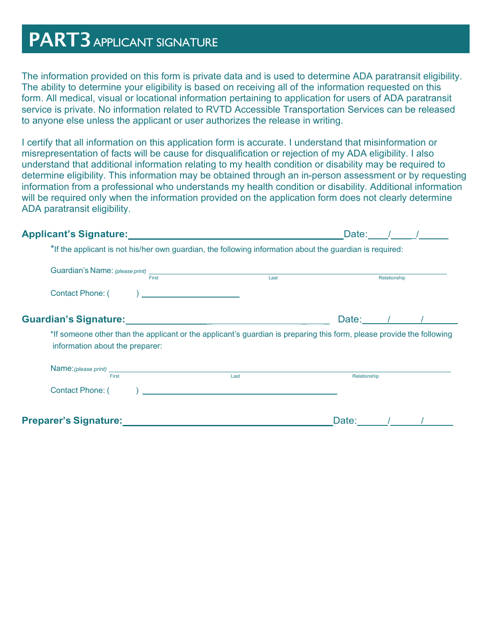# PART3 APPLICANT SIGNATURE

The information provided on this form is private data and is used to determine ADA paratransit eligibility. The ability to determine your eligibility is based on receiving all of the information requested on this form. All medical, visual or locational information pertaining to application for users of ADA paratransit service is private. No information related to RVTD Accessible Transportation Services can be released to anyone else unless the applicant or user authorizes the release in writing.

I certify that all information on this application form is accurate. I understand that misinformation or misrepresentation of facts will be cause for disqualification or rejection of my ADA eligibility. I also understand that additional information relating to my health condition or disability may be required to determine eligibility. This information may be obtained through an in-person assessment or by requesting information from a professional who understands my health condition or disability. Additional information will be required only when the information provided on the application form does not clearly determine ADA paratransit eligibility.

| Applicant's Signature: National Applicant of Signature:                                                                                                  |                                                           | Date:        |              |
|----------------------------------------------------------------------------------------------------------------------------------------------------------|-----------------------------------------------------------|--------------|--------------|
| *If the applicant is not his/her own guardian, the following information about the guardian is required:                                                 |                                                           |              |              |
| First                                                                                                                                                    | Last                                                      |              | Relationship |
| Contact Phone: (                                                                                                                                         |                                                           |              |              |
|                                                                                                                                                          |                                                           | Date:        |              |
| *If someone other than the applicant or the applicant's guardian is preparing this form, please provide the following<br>information about the preparer: |                                                           |              |              |
| Name: (please print)<br>First                                                                                                                            | Last                                                      | Relationship |              |
| Contact Phone: (                                                                                                                                         | <u> 1989 - Johann Barbara, markazi bashkar mashrida (</u> |              |              |
| <b>Preparer's Signature:</b>                                                                                                                             |                                                           | Date:        |              |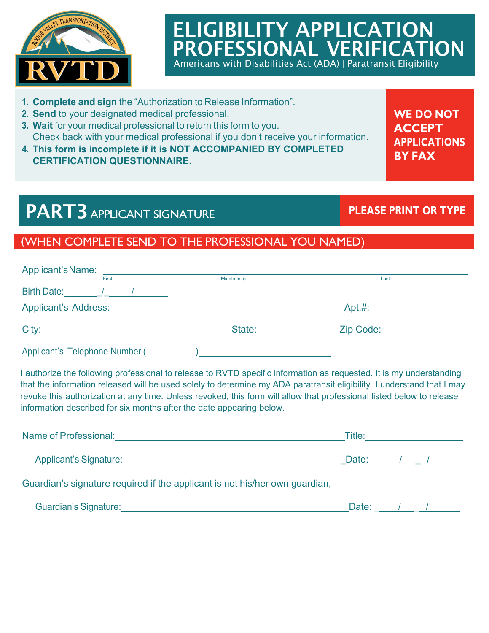

### ELIGIBILITY APPLICATION PROFESSIONAL VERIFICATION Americans with Disabilities Act (ADA) | Paratransit Eligibility

- **1. Complete and sign** the "Authorization to Release Information".
- **2. Send** to your designated medical professional.
- **3. Wait** for your medical professional to return this form to you. Check back with your medical professional if you don't receive your information.
- **4. This form is incomplete if it is NOT ACCOMPANIED BY COMPLETED CERTIFICATION QUESTIONNAIRE.**

PART3 APPLICANT **PLEASE PRINT OR TYPE** SIGNATURE

### (WHEN COMPLETE SEND TO THE PROFESSIONAL YOU NAMED)

| Applicant's Name:              |       |                       |           |  |
|--------------------------------|-------|-----------------------|-----------|--|
|                                | First | <b>Middle Initial</b> | Last      |  |
| Birth Date: 1 1                |       |                       |           |  |
| <b>Applicant's Address:</b>    |       |                       | $Apt.$ #: |  |
|                                |       | State:                | Zip Code: |  |
| Applicant's Telephone Number ( |       |                       |           |  |

I authorize the following professional to release to RVTD specific information as requested. It is my understanding that the information released will be used solely to determine my ADA paratransit eligibility. I understand that I may revoke this authorization at any time. Unless revoked, this form will allow that professional listed below to release information described for six months after the date appearing below.

| Name of Professional:  | Title: |  |
|------------------------|--------|--|
| Applicant's Signature: | Date:  |  |

Guardian's signature required if the applicant is not his/her own guardian,

| Guardian's Signature: |  |  |
|-----------------------|--|--|
|                       |  |  |

**BY FAX**

**WE DO NOT ACCEPT**

**APPLICATIONS**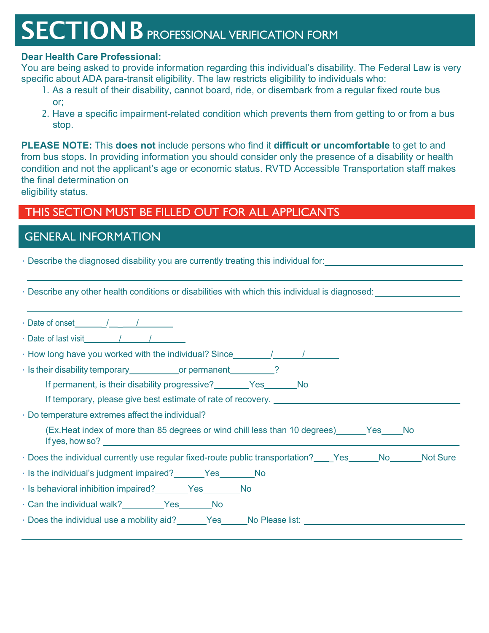# SECTION B PROFESSIONAL VERIFICATION FORM

#### **Dear Health Care Professional:**

You are being asked to provide information regarding this individual's disability. The Federal Law is very specific about ADA para-transit eligibility. The law restricts eligibility to individuals who:

- 1. As a result of their disability, cannot board, ride, or disembark from a regular fixed route bus or;
- 2. Have a specific impairment-related condition which prevents them from getting to or from a bus stop.

**PLEASE NOTE:** This **does not** include persons who find it **difficult or uncomfortable** to get to and from bus stops. In providing information you should consider only the presence of a disability or health condition and not the applicant's age or economic status. RVTD Accessible Transportation staff makes the final determination on

eligibility status.

### THIS SECTION MUST BE FILLED OUT FOR ALL APPLICANTS

### GENERAL INFORMATION

- Describe the diagnosed disability you are currently treating this individual for:
- Describe any other health conditions or disabilities with which this individual is diagnosed:

| $\cdot$ How long have you worked with the individual? Since $\sqrt{2}$                                            |
|-------------------------------------------------------------------------------------------------------------------|
|                                                                                                                   |
| If permanent, is their disability progressive? _________Yes_________No                                            |
| If temporary, please give best estimate of rate of recovery. ___________________                                  |
| $\cdot$ Do temperature extremes affect the individual?                                                            |
|                                                                                                                   |
| (Ex.Heat index of more than 85 degrees or wind chill less than 10 degrees) Yes No                                 |
| $\cdot$ Does the individual currently use regular fixed-route public transportation? For estable and North Costre |
|                                                                                                                   |
| · Is behavioral inhibition impaired? _______Yes________No                                                         |
| Can the individual walk? <b>Example 20 Yes No</b>                                                                 |
|                                                                                                                   |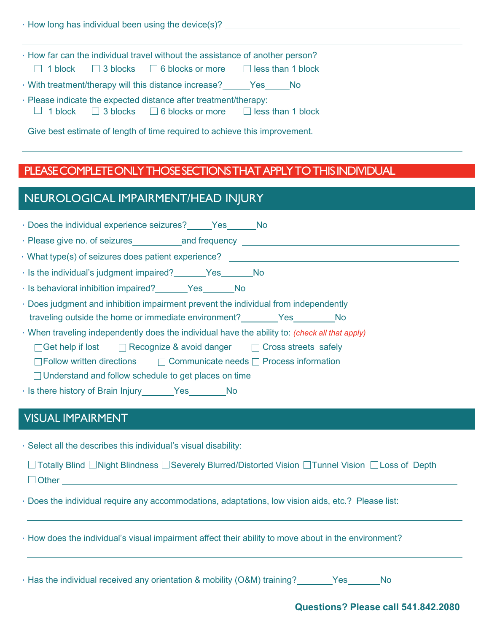| $\cdot$ How long has individual been using the device(s)?                       |  |
|---------------------------------------------------------------------------------|--|
|                                                                                 |  |
| How far can the individual travel without the assistance of another person?     |  |
| 1 block $\Box$ 3 blocks $\Box$ 6 blocks or more $\Box$ less than 1 block        |  |
| · With treatment/therapy will this distance increase? ______Yes______No         |  |
| · Please indicate the expected distance after treatment/therapy:                |  |
| $\Box$ 1 block $\Box$ 3 blocks $\Box$ 6 blocks or more $\Box$ less than 1 block |  |
| Give best estimate of length of time required to achieve this improvement.      |  |

### PLEASE COMPLETE ONLY THOSE SECTIONS THAT APPLY TO THIS INDIVIDUAL

### NEUROLOGICAL IMPAIRMENT/HEAD INJURY

| • Does the individual experience seizures? ______ Yes _______ No                               |
|------------------------------------------------------------------------------------------------|
|                                                                                                |
| · What type(s) of seizures does patient experience? ____________________________               |
| . Is the individual's judgment impaired? _______Yes________No                                  |
| · Is behavioral inhibition impaired? Yes No                                                    |
| · Does judgment and inhibition impairment prevent the individual from independently            |
| traveling outside the home or immediate environment? The Ses No                                |
| · When traveling independently does the individual have the ability to: (check all that apply) |
| □ Get help if lost □ Recognize & avoid danger □ Cross streets safely                           |
| □Follow written directions □ ○ Communicate needs □ Process information                         |
| $\Box$ Understand and follow schedule to get places on time                                    |
| $\cdot$ Is there history of Brain Injury Pes No                                                |

### VISUAL IMPAIRMENT

• Select all the describes this individual's visual disability:

|              | □ Totally Blind □Night Blindness □ Severely Blurred/Distorted Vision □ Tunnel Vision □ Loss of Depth |  |  |
|--------------|------------------------------------------------------------------------------------------------------|--|--|
| $\Box$ Other |                                                                                                      |  |  |

• Does the individual require any accommodations, adaptations, low vision aids, etc.? Please list:

• How does the individual's visual impairment affect their ability to move about in the environment?

• Has the individual received any orientation & mobility (O&M) training? Ves Ves

**Questions? Please call 541.842.2080**